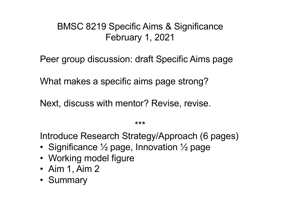### BMSC 8219 Specific Aims & Significance February 1, 2021

Peer group discussion: draft Specific Aims page

What makes a specific aims page strong?

Next, discuss with mentor? Revise, revise.

\*\*\*

Introduce Research Strategy/Approach (6 pages)

- Significance  $\frac{1}{2}$  page, Innovation  $\frac{1}{2}$  page
- Working model figure
- Aim 1, Aim 2
- Summary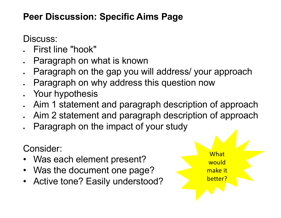### **Peer Discussion: Specific Aims Page**

Discuss:

- First line "hook"
- Paragraph on what is known
- Paragraph on the gap you will address/ your approach
- Paragraph on why address this question now
- Your hypothesis
- Aim 1 statement and paragraph description of approach
- Aim 2 statement and paragraph description of approach
- Paragraph on the impact of your study

Consider:

- Was each element present?
- Was the document one page?
- Active tone? Easily understood?

What would make it better?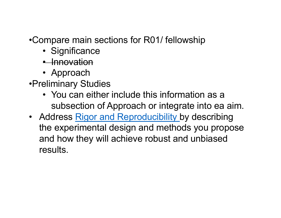•Compare main sections for R01/ fellowship

- Significance
- Innovation
- Approach
- •Preliminary Studies
	- You can either include this information as a subsection of Approach or integrate into ea aim.
- Address [Rigor and Reproducibility](http://grants.nih.gov/reproducibility/index.htm) by describing the experimental design and methods you propose and how they will achieve robust and unbiased results.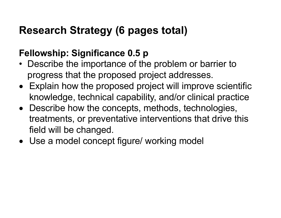## **Research Strategy (6 pages total)**

## **Fellowship: Significance 0.5 p**

- Describe the importance of the problem or barrier to progress that the proposed project addresses.
- Explain how the proposed project will improve scientific knowledge, technical capability, and/or clinical practice
- Describe how the concepts, methods, technologies, treatments, or preventative interventions that drive this field will be changed.
- Use a model concept figure/ working model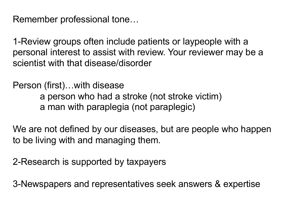Remember professional tone…

1-Review groups often include patients or laypeople with a personal interest to assist with review. Your reviewer may be a scientist with that disease/disorder

Person (first)…with disease a person who had a stroke (not stroke victim) a man with paraplegia (not paraplegic)

We are not defined by our diseases, but are people who happen to be living with and managing them.

2-Research is supported by taxpayers

3-Newspapers and representatives seek answers & expertise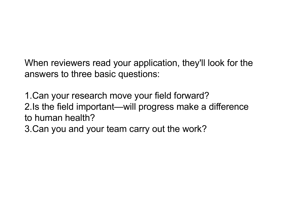When reviewers read your application, they'll look for the answers to three basic questions:

1.Can your research move your field forward? 2.Is the field important—will progress make a difference to human health?

3.Can you and your team carry out the work?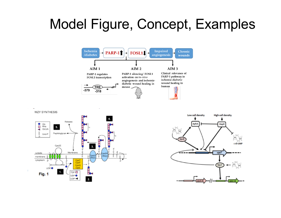# Model Figure, Concept, Examples



WZY SYNTHESIS



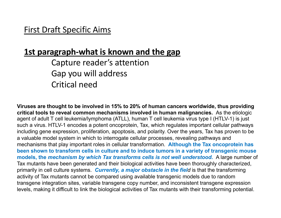#### **1st paragraph-what is known and the gap**

Capture reader's attention Gap you will address Critical need

**Viruses are thought to be involved in 15% to 20% of human cancers worldwide, thus providing critical tools to reveal common mechanisms involved in human malignancies.** As the etiologic agent of adult T cell leukemia/lymphoma (ATLL), human T cell leukemia virus type I (HTLV-1) is just such a virus. HTLV-1 encodes a potent oncoprotein, Tax, which regulates important cellular pathways including gene expression, proliferation, apoptosis, and polarity. Over the years, Tax has proven to be a valuable model system in which to interrogate cellular processes, revealing pathways and mechanisms that play important roles in cellular transformation. **Although the Tax oncoprotein has been shown to transform cells in culture and to induce tumors in a variety of transgenic mouse models, the** *mechanism by which Tax transforms cells is not well understood***.** A large number of Tax mutants have been generated and their biological activities have been thoroughly characterized, primarily in cell culture systems. *Currently, a major obstacle in the field* is that the transforming activity of Tax mutants cannot be compared using available transgenic models due to random transgene integration sites, variable transgene copy number, and inconsistent transgene expression levels, making it difficult to link the biological activities of Tax mutants with their transforming potential.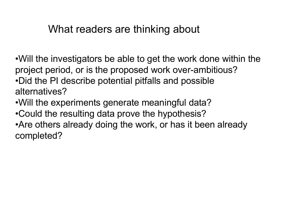## What readers are thinking about

•Will the investigators be able to get the work done within the project period, or is the proposed work over-ambitious? •Did the PI describe potential pitfalls and possible alternatives?

- •Will the experiments generate meaningful data?
- •Could the resulting data prove the hypothesis?

•Are others already doing the work, or has it been already completed?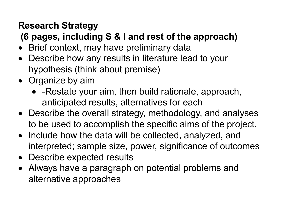## **Research Strategy**

**(6 pages, including S & I and rest of the approach)**

- Brief context, may have preliminary data
- Describe how any results in literature lead to your hypothesis (think about premise)
- Organize by aim
	- -Restate your aim, then build rationale, approach, anticipated results, alternatives for each
- Describe the overall strategy, methodology, and analyses to be used to accomplish the specific aims of the project.
- Include how the data will be collected, analyzed, and interpreted; sample size, power, significance of outcomes
- Describe expected results
- Always have a paragraph on potential problems and alternative approaches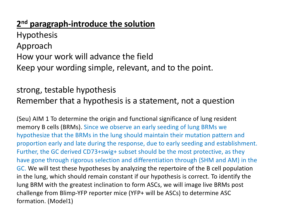#### **2nd paragraph-introduce the solution**

**Hypothesis** Approach How your work will advance the field Keep your wording simple, relevant, and to the point.

#### strong, testable hypothesis Remember that a hypothesis is a statement, not a question

(Seu) AIM 1 To determine the origin and functional significance of lung resident memory B cells (BRMs). Since we observe an early seeding of lung BRMs we hypothesize that the BRMs in the lung should maintain their mutation pattern and proportion early and late during the response, due to early seeding and establishment. Further, the GC derived CD73+swig+ subset should be the most protective, as they have gone through rigorous selection and differentiation through (SHM and AM) in the GC. We will test these hypotheses by analyzing the repertoire of the B cell population in the lung, which should remain constant if our hypothesis is correct. To identify the lung BRM with the greatest inclination to form ASCs, we will image live BRMs post challenge from Blimp-YFP reporter mice (YFP+ will be ASCs) to determine ASC formation. (Model1)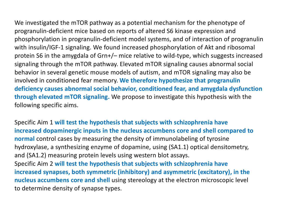We investigated the mTOR pathway as a potential mechanism for the phenotype of progranulin-deficient mice based on reports of altered S6 kinase expression and phosphorylation in progranulin-deficient model systems, and of interaction of progranulin with insulin/IGF-1 signaling. We found increased phosphorylation of Akt and ribosomal protein S6 in the amygdala of Grn+/– mice relative to wild-type, which suggests increased signaling through the mTOR pathway. Elevated mTOR signaling causes abnormal social behavior in several genetic mouse models of autism, and mTOR signaling may also be involved in conditioned fear memory. **We therefore hypothesize that progranulin deficiency causes abnormal social behavior, conditioned fear, and amygdala dysfunction through elevated mTOR signaling.** We propose to investigate this hypothesis with the following specific aims.

Specific Aim 1 **will test the hypothesis that subjects with schizophrenia have increased dopaminergic inputs in the nucleus accumbens core and shell compared to normal** control cases by measuring the density of immunolabeling of tyrosine hydroxylase, a synthesizing enzyme of dopamine, using (SA1.1) optical densitometry, and (SA1.2) measuring protein levels using western blot assays. Specific Aim 2 **will test the hypothesis that subjects with schizophrenia have increased synapses, both symmetric (inhibitory) and asymmetric (excitatory), in the nucleus accumbens core and shell** using stereology at the electron microscopic level to determine density of synapse types.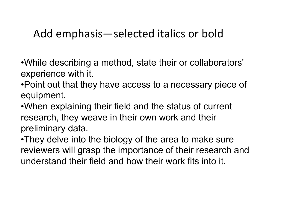# Add emphasis—selected italics or bold

•While describing a method, state their or collaborators' experience with it.

•Point out that they have access to a necessary piece of equipment.

•When explaining their field and the status of current research, they weave in their own work and their preliminary data.

•They delve into the biology of the area to make sure reviewers will grasp the importance of their research and understand their field and how their work fits into it.